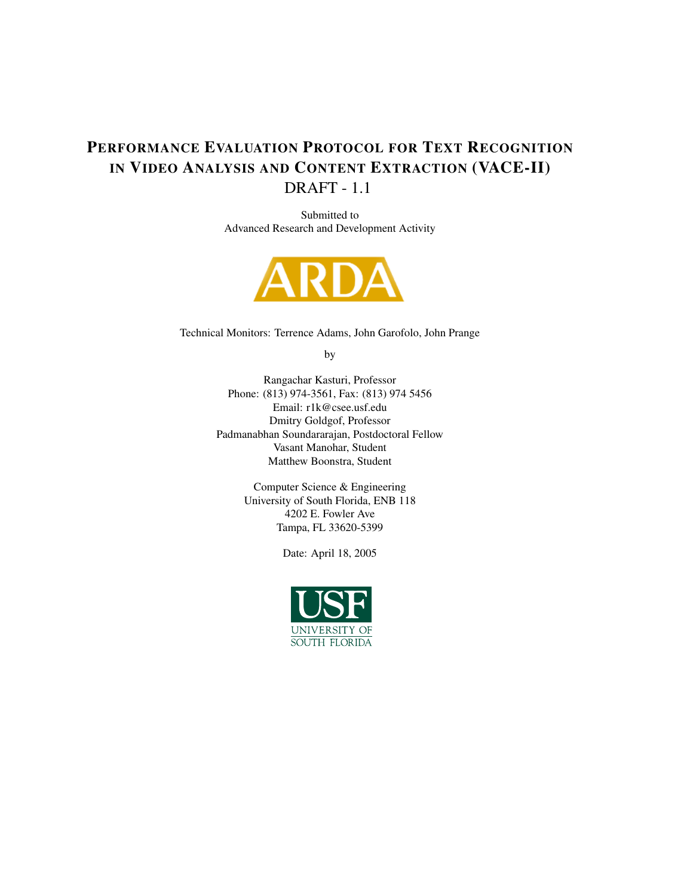# PERFORMANCE EVALUATION PROTOCOL FOR TEXT RECOGNITION IN VIDEO ANALYSIS AND CONTENT EXTRACTION (VACE-II) DRAFT - 1.1

Submitted to Advanced Research and Development Activity



Technical Monitors: Terrence Adams, John Garofolo, John Prange

by

Rangachar Kasturi, Professor Phone: (813) 974-3561, Fax: (813) 974 5456 Email: r1k@csee.usf.edu Dmitry Goldgof, Professor Padmanabhan Soundararajan, Postdoctoral Fellow Vasant Manohar, Student Matthew Boonstra, Student

> Computer Science & Engineering University of South Florida, ENB 118 4202 E. Fowler Ave Tampa, FL 33620-5399

> > Date: April 18, 2005

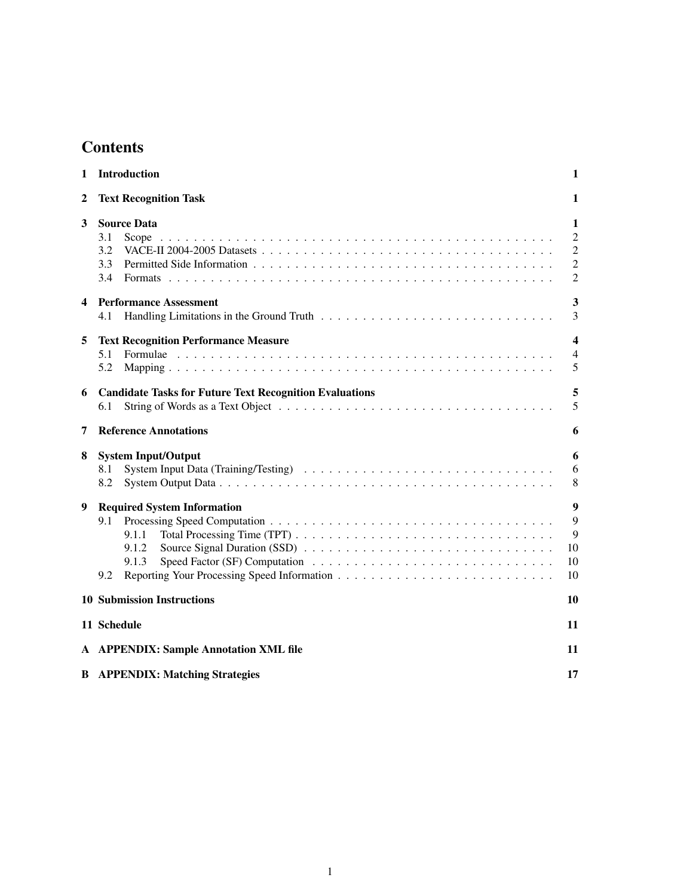# **Contents**

| 1 | Introduction                                                                | 1                                                            |  |  |  |  |
|---|-----------------------------------------------------------------------------|--------------------------------------------------------------|--|--|--|--|
| 2 | <b>Text Recognition Task</b>                                                |                                                              |  |  |  |  |
| 3 | <b>Source Data</b><br>3.1<br>Scope<br>3.2<br>3.3<br>3.4                     | 1<br>$\overline{2}$<br>$\overline{2}$<br>2<br>$\overline{2}$ |  |  |  |  |
| 4 | <b>Performance Assessment</b><br>4.1                                        | 3<br>3                                                       |  |  |  |  |
| 5 | <b>Text Recognition Performance Measure</b><br>5.1<br>5.2                   | 4<br>$\overline{4}$<br>5                                     |  |  |  |  |
| 6 | <b>Candidate Tasks for Future Text Recognition Evaluations</b><br>6.1       | 5<br>5                                                       |  |  |  |  |
| 7 | <b>Reference Annotations</b>                                                | 6                                                            |  |  |  |  |
| 8 | <b>System Input/Output</b><br>8.1<br>8.2                                    | 6<br>6<br>8                                                  |  |  |  |  |
| 9 | <b>Required System Information</b><br>9.1<br>9.1.1<br>9.1.2<br>9.1.3<br>9.2 | 9<br>$\mathbf Q$<br>9<br>10<br>10<br>10                      |  |  |  |  |
|   | <b>10 Submission Instructions</b>                                           | 10                                                           |  |  |  |  |
|   | 11 Schedule                                                                 | 11                                                           |  |  |  |  |
|   | A APPENDIX: Sample Annotation XML file                                      | 11                                                           |  |  |  |  |
|   | <b>B</b> APPENDIX: Matching Strategies                                      | 17                                                           |  |  |  |  |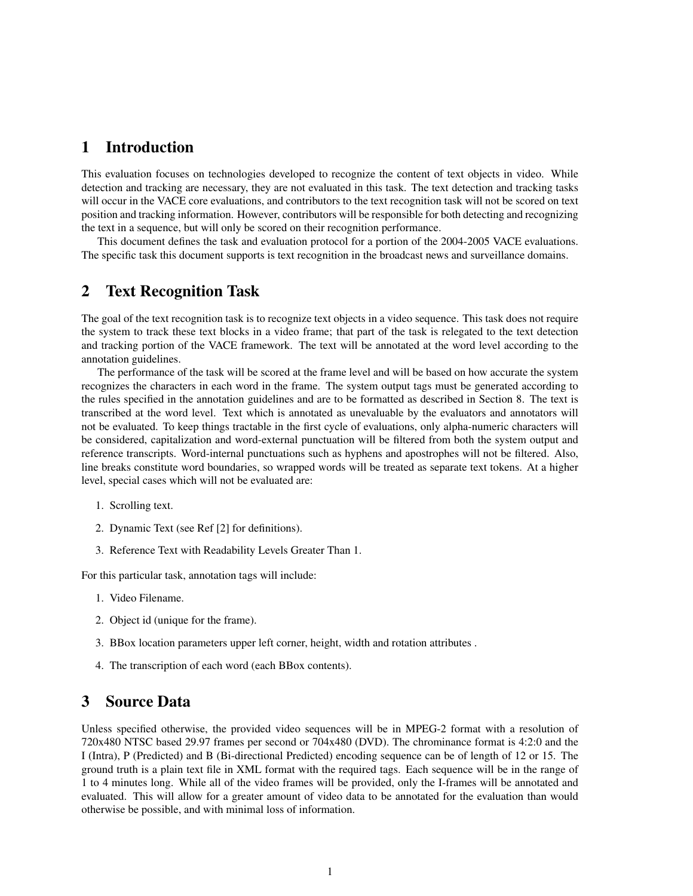## 1 Introduction

This evaluation focuses on technologies developed to recognize the content of text objects in video. While detection and tracking are necessary, they are not evaluated in this task. The text detection and tracking tasks will occur in the VACE core evaluations, and contributors to the text recognition task will not be scored on text position and tracking information. However, contributors will be responsible for both detecting and recognizing the text in a sequence, but will only be scored on their recognition performance.

This document defines the task and evaluation protocol for a portion of the 2004-2005 VACE evaluations. The specific task this document supports is text recognition in the broadcast news and surveillance domains.

## 2 Text Recognition Task

The goal of the text recognition task is to recognize text objects in a video sequence. This task does not require the system to track these text blocks in a video frame; that part of the task is relegated to the text detection and tracking portion of the VACE framework. The text will be annotated at the word level according to the annotation guidelines.

The performance of the task will be scored at the frame level and will be based on how accurate the system recognizes the characters in each word in the frame. The system output tags must be generated according to the rules specified in the annotation guidelines and are to be formatted as described in Section 8. The text is transcribed at the word level. Text which is annotated as unevaluable by the evaluators and annotators will not be evaluated. To keep things tractable in the first cycle of evaluations, only alpha-numeric characters will be considered, capitalization and word-external punctuation will be filtered from both the system output and reference transcripts. Word-internal punctuations such as hyphens and apostrophes will not be filtered. Also, line breaks constitute word boundaries, so wrapped words will be treated as separate text tokens. At a higher level, special cases which will not be evaluated are:

- 1. Scrolling text.
- 2. Dynamic Text (see Ref [2] for definitions).
- 3. Reference Text with Readability Levels Greater Than 1.

For this particular task, annotation tags will include:

- 1. Video Filename.
- 2. Object id (unique for the frame).
- 3. BBox location parameters upper left corner, height, width and rotation attributes .
- 4. The transcription of each word (each BBox contents).

## 3 Source Data

Unless specified otherwise, the provided video sequences will be in MPEG-2 format with a resolution of 720x480 NTSC based 29.97 frames per second or 704x480 (DVD). The chrominance format is 4:2:0 and the I (Intra), P (Predicted) and B (Bi-directional Predicted) encoding sequence can be of length of 12 or 15. The ground truth is a plain text file in XML format with the required tags. Each sequence will be in the range of 1 to 4 minutes long. While all of the video frames will be provided, only the I-frames will be annotated and evaluated. This will allow for a greater amount of video data to be annotated for the evaluation than would otherwise be possible, and with minimal loss of information.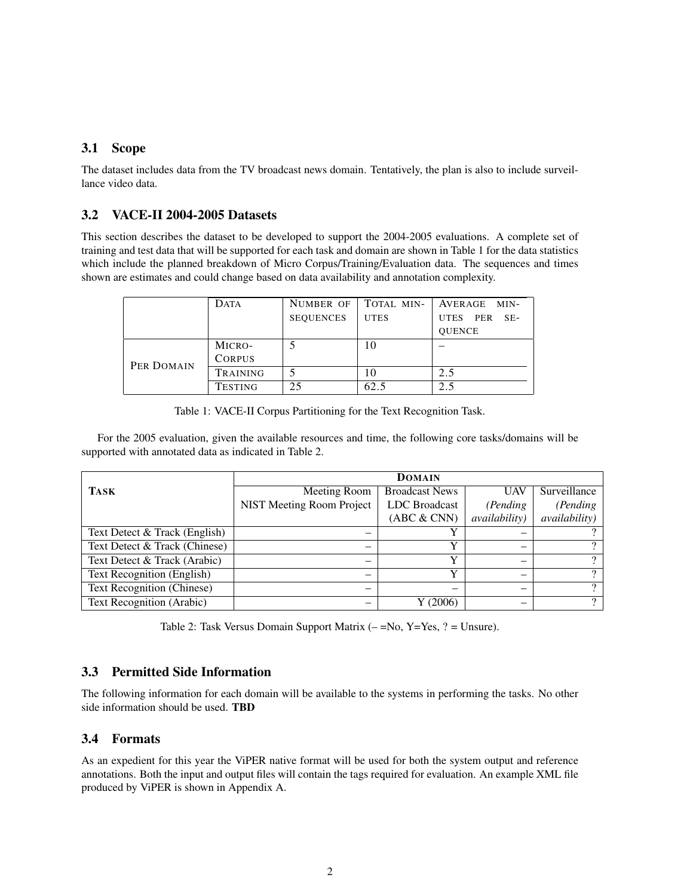### 3.1 Scope

The dataset includes data from the TV broadcast news domain. Tentatively, the plan is also to include surveillance video data.

## 3.2 VACE-II 2004-2005 Datasets

This section describes the dataset to be developed to support the 2004-2005 evaluations. A complete set of training and test data that will be supported for each task and domain are shown in Table 1 for the data statistics which include the planned breakdown of Micro Corpus/Training/Evaluation data. The sequences and times shown are estimates and could change based on data availability and annotation complexity.

|            | <b>DATA</b>     | NUMBER OF        | TOTAL MIN-  | AVERAGE MIN-                |
|------------|-----------------|------------------|-------------|-----------------------------|
|            |                 | <b>SEQUENCES</b> | <b>UTES</b> | <b>UTES</b><br>PER<br>$SE-$ |
|            |                 |                  |             | <b>OUENCE</b>               |
|            | MICRO-          |                  |             |                             |
| PER DOMAIN | <b>CORPUS</b>   |                  |             |                             |
|            | <b>TRAINING</b> |                  |             | 2.5                         |
|            | <b>TESTING</b>  | 25               | 62.5        | 2.5                         |

Table 1: VACE-II Corpus Partitioning for the Text Recognition Task.

For the 2005 evaluation, given the available resources and time, the following core tasks/domains will be supported with annotated data as indicated in Table 2.

|                               | <b>DOMAIN</b>             |                       |                       |                       |  |
|-------------------------------|---------------------------|-----------------------|-----------------------|-----------------------|--|
| <b>TASK</b>                   | Meeting Room              | <b>Broadcast News</b> | <b>UAV</b>            | Surveillance          |  |
|                               | NIST Meeting Room Project | <b>LDC</b> Broadcast  | (Pending)             | (Pending)             |  |
|                               |                           | (ABC & CNN)           | <i>availability</i> ) | <i>availability</i> ) |  |
| Text Detect & Track (English) | -                         | v                     |                       |                       |  |
| Text Detect & Track (Chinese) |                           | $\mathbf v$           |                       | റ                     |  |
| Text Detect & Track (Arabic)  |                           | v                     |                       |                       |  |
| Text Recognition (English)    |                           | Y                     |                       | റ                     |  |
| Text Recognition (Chinese)    |                           |                       |                       |                       |  |
| Text Recognition (Arabic)     |                           | Y (2006)              |                       | $\gamma$              |  |

Table 2: Task Versus Domain Support Matrix  $(-=No, Y=Yes, ? = Unsure)$ .

### 3.3 Permitted Side Information

The following information for each domain will be available to the systems in performing the tasks. No other side information should be used. TBD

### 3.4 Formats

As an expedient for this year the ViPER native format will be used for both the system output and reference annotations. Both the input and output files will contain the tags required for evaluation. An example XML file produced by ViPER is shown in Appendix A.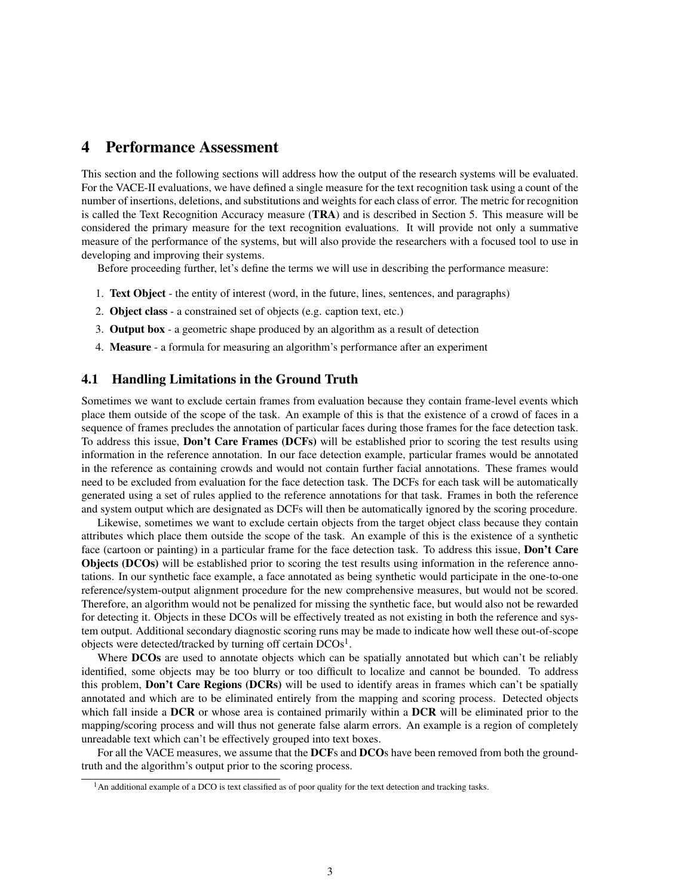## 4 Performance Assessment

This section and the following sections will address how the output of the research systems will be evaluated. For the VACE-II evaluations, we have defined a single measure for the text recognition task using a count of the number of insertions, deletions, and substitutions and weights for each class of error. The metric for recognition is called the Text Recognition Accuracy measure (TRA) and is described in Section 5. This measure will be considered the primary measure for the text recognition evaluations. It will provide not only a summative measure of the performance of the systems, but will also provide the researchers with a focused tool to use in developing and improving their systems.

Before proceeding further, let's define the terms we will use in describing the performance measure:

- 1. Text Object the entity of interest (word, in the future, lines, sentences, and paragraphs)
- 2. Object class a constrained set of objects (e.g. caption text, etc.)
- 3. Output box a geometric shape produced by an algorithm as a result of detection
- 4. Measure a formula for measuring an algorithm's performance after an experiment

### 4.1 Handling Limitations in the Ground Truth

Sometimes we want to exclude certain frames from evaluation because they contain frame-level events which place them outside of the scope of the task. An example of this is that the existence of a crowd of faces in a sequence of frames precludes the annotation of particular faces during those frames for the face detection task. To address this issue, Don't Care Frames (DCFs) will be established prior to scoring the test results using information in the reference annotation. In our face detection example, particular frames would be annotated in the reference as containing crowds and would not contain further facial annotations. These frames would need to be excluded from evaluation for the face detection task. The DCFs for each task will be automatically generated using a set of rules applied to the reference annotations for that task. Frames in both the reference and system output which are designated as DCFs will then be automatically ignored by the scoring procedure.

Likewise, sometimes we want to exclude certain objects from the target object class because they contain attributes which place them outside the scope of the task. An example of this is the existence of a synthetic face (cartoon or painting) in a particular frame for the face detection task. To address this issue, **Don't Care** Objects (DCOs) will be established prior to scoring the test results using information in the reference annotations. In our synthetic face example, a face annotated as being synthetic would participate in the one-to-one reference/system-output alignment procedure for the new comprehensive measures, but would not be scored. Therefore, an algorithm would not be penalized for missing the synthetic face, but would also not be rewarded for detecting it. Objects in these DCOs will be effectively treated as not existing in both the reference and system output. Additional secondary diagnostic scoring runs may be made to indicate how well these out-of-scope objects were detected/tracked by turning off certain  $DCOs<sup>1</sup>$ .

Where DCOs are used to annotate objects which can be spatially annotated but which can't be reliably identified, some objects may be too blurry or too difficult to localize and cannot be bounded. To address this problem, Don't Care Regions (DCRs) will be used to identify areas in frames which can't be spatially annotated and which are to be eliminated entirely from the mapping and scoring process. Detected objects which fall inside a DCR or whose area is contained primarily within a DCR will be eliminated prior to the mapping/scoring process and will thus not generate false alarm errors. An example is a region of completely unreadable text which can't be effectively grouped into text boxes.

For all the VACE measures, we assume that the DCFs and DCOs have been removed from both the groundtruth and the algorithm's output prior to the scoring process.

 $<sup>1</sup>$ An additional example of a DCO is text classified as of poor quality for the text detection and tracking tasks.</sup>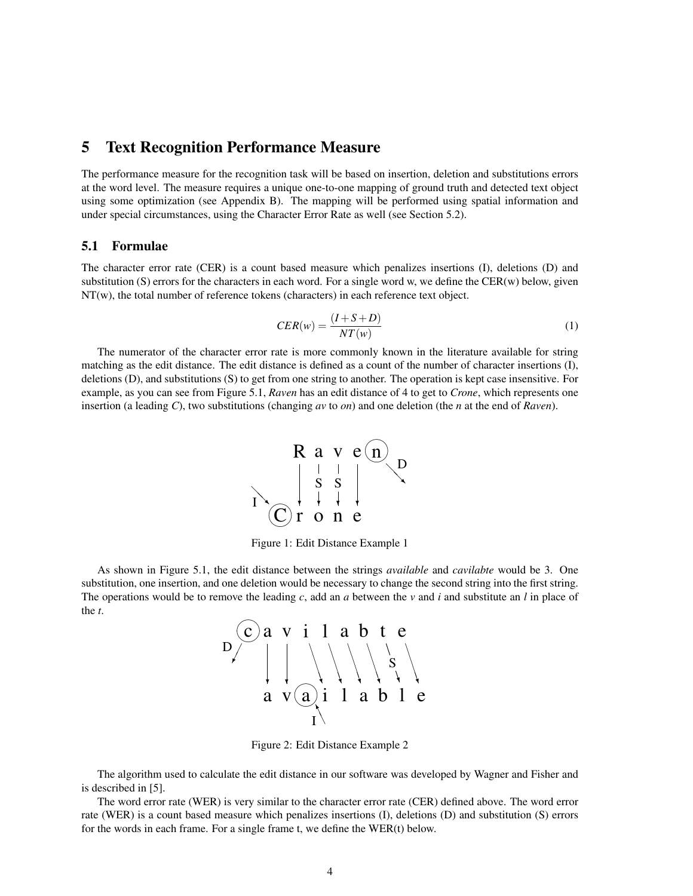### 5 Text Recognition Performance Measure

The performance measure for the recognition task will be based on insertion, deletion and substitutions errors at the word level. The measure requires a unique one-to-one mapping of ground truth and detected text object using some optimization (see Appendix B). The mapping will be performed using spatial information and under special circumstances, using the Character Error Rate as well (see Section 5.2).

#### 5.1 Formulae

The character error rate (CER) is a count based measure which penalizes insertions (I), deletions (D) and substitution (S) errors for the characters in each word. For a single word w, we define the CER(w) below, given NT(w), the total number of reference tokens (characters) in each reference text object.

$$
CER(w) = \frac{(I + S + D)}{NT(w)}\tag{1}
$$

The numerator of the character error rate is more commonly known in the literature available for string matching as the edit distance. The edit distance is defined as a count of the number of character insertions (I), deletions (D), and substitutions (S) to get from one string to another. The operation is kept case insensitive. For example, as you can see from Figure 5.1, *Raven* has an edit distance of 4 to get to *Crone*, which represents one insertion (a leading *C*), two substitutions (changing *av* to *on*) and one deletion (the *n* at the end of *Raven*).



Figure 1: Edit Distance Example 1

As shown in Figure 5.1, the edit distance between the strings *available* and *cavilabte* would be 3. One substitution, one insertion, and one deletion would be necessary to change the second string into the first string. The operations would be to remove the leading *c*, add an *a* between the *v* and *i* and substitute an *l* in place of the *t*.



Figure 2: Edit Distance Example 2

The algorithm used to calculate the edit distance in our software was developed by Wagner and Fisher and is described in [5].

The word error rate (WER) is very similar to the character error rate (CER) defined above. The word error rate (WER) is a count based measure which penalizes insertions (I), deletions (D) and substitution (S) errors for the words in each frame. For a single frame t, we define the WER(t) below.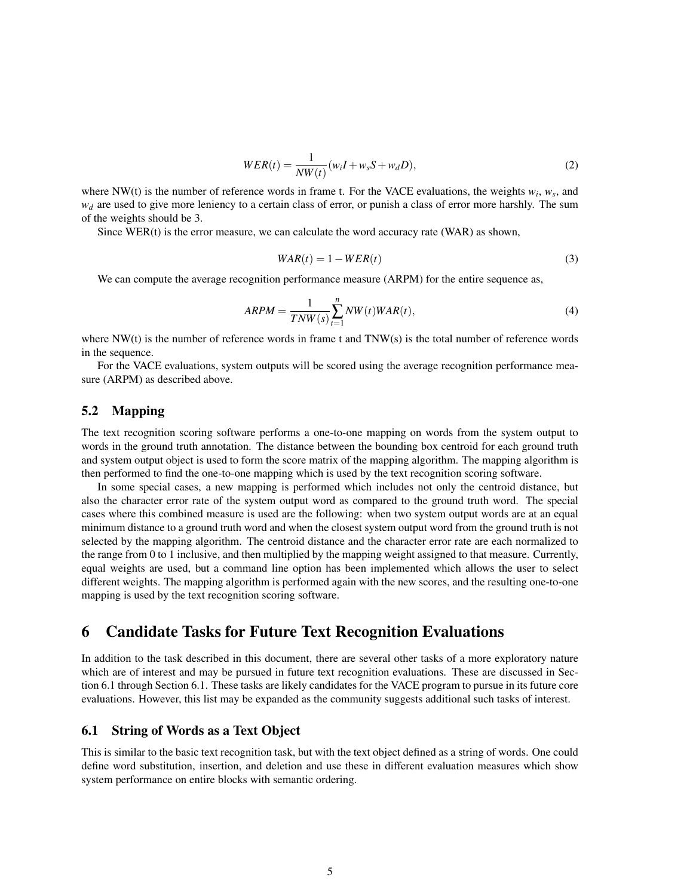$$
WER(t) = \frac{1}{NW(t)}(w_iI + w_sS + w_dD),
$$
\n(2)

where NW(t) is the number of reference words in frame t. For the VACE evaluations, the weights  $w_i$ ,  $w_s$ , and  $w_d$  are used to give more leniency to a certain class of error, or punish a class of error more harshly. The sum of the weights should be 3.

Since  $WER(t)$  is the error measure, we can calculate the word accuracy rate (WAR) as shown,

$$
WAR(t) = 1 - WER(t)
$$
\n<sup>(3)</sup>

We can compute the average recognition performance measure (ARPM) for the entire sequence as,

$$
ARPM = \frac{1}{TNW(s)} \sum_{t=1}^{n} NW(t) WAR(t),
$$
\n(4)

where NW(t) is the number of reference words in frame t and TNW(s) is the total number of reference words in the sequence.

For the VACE evaluations, system outputs will be scored using the average recognition performance measure (ARPM) as described above.

#### 5.2 Mapping

The text recognition scoring software performs a one-to-one mapping on words from the system output to words in the ground truth annotation. The distance between the bounding box centroid for each ground truth and system output object is used to form the score matrix of the mapping algorithm. The mapping algorithm is then performed to find the one-to-one mapping which is used by the text recognition scoring software.

In some special cases, a new mapping is performed which includes not only the centroid distance, but also the character error rate of the system output word as compared to the ground truth word. The special cases where this combined measure is used are the following: when two system output words are at an equal minimum distance to a ground truth word and when the closest system output word from the ground truth is not selected by the mapping algorithm. The centroid distance and the character error rate are each normalized to the range from 0 to 1 inclusive, and then multiplied by the mapping weight assigned to that measure. Currently, equal weights are used, but a command line option has been implemented which allows the user to select different weights. The mapping algorithm is performed again with the new scores, and the resulting one-to-one mapping is used by the text recognition scoring software.

## 6 Candidate Tasks for Future Text Recognition Evaluations

In addition to the task described in this document, there are several other tasks of a more exploratory nature which are of interest and may be pursued in future text recognition evaluations. These are discussed in Section 6.1 through Section 6.1. These tasks are likely candidates for the VACE program to pursue in its future core evaluations. However, this list may be expanded as the community suggests additional such tasks of interest.

#### 6.1 String of Words as a Text Object

This is similar to the basic text recognition task, but with the text object defined as a string of words. One could define word substitution, insertion, and deletion and use these in different evaluation measures which show system performance on entire blocks with semantic ordering.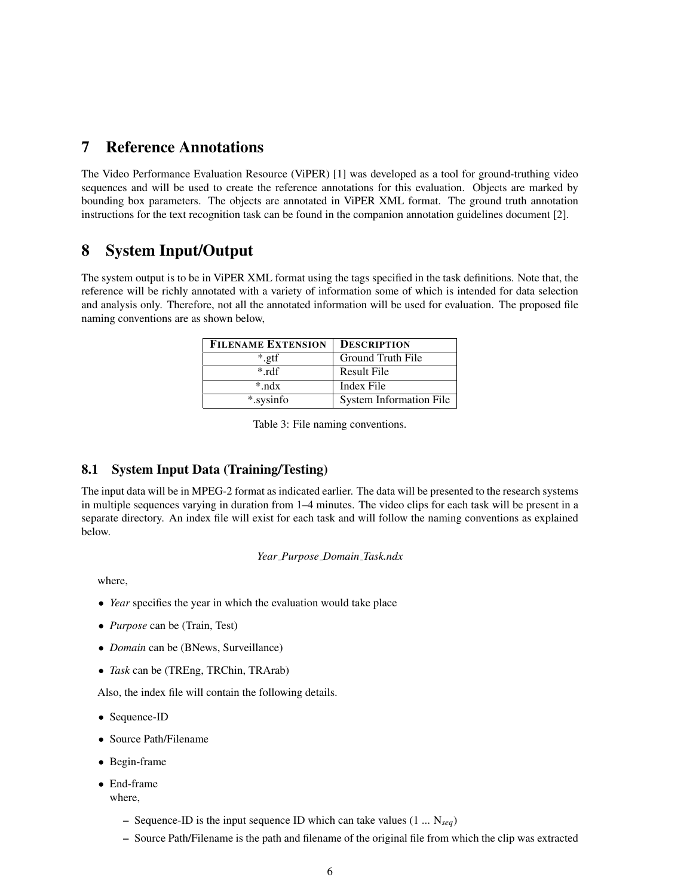## 7 Reference Annotations

The Video Performance Evaluation Resource (ViPER) [1] was developed as a tool for ground-truthing video sequences and will be used to create the reference annotations for this evaluation. Objects are marked by bounding box parameters. The objects are annotated in ViPER XML format. The ground truth annotation instructions for the text recognition task can be found in the companion annotation guidelines document [2].

## 8 System Input/Output

The system output is to be in ViPER XML format using the tags specified in the task definitions. Note that, the reference will be richly annotated with a variety of information some of which is intended for data selection and analysis only. Therefore, not all the annotated information will be used for evaluation. The proposed file naming conventions are as shown below,

| <b>FILENAME EXTENSION</b> | <b>DESCRIPTION</b>             |
|---------------------------|--------------------------------|
| *.gtf                     | Ground Truth File              |
| $*$ rdf                   | Result File                    |
| $*$ ndx                   | Index File                     |
| *.sysinfo                 | <b>System Information File</b> |

Table 3: File naming conventions.

### 8.1 System Input Data (Training/Testing)

The input data will be in MPEG-2 format as indicated earlier. The data will be presented to the research systems in multiple sequences varying in duration from 1–4 minutes. The video clips for each task will be present in a separate directory. An index file will exist for each task and will follow the naming conventions as explained below.

#### *Year Purpose Domain Task.ndx*

where,

- *Year* specifies the year in which the evaluation would take place
- *Purpose* can be (Train, Test)
- *Domain* can be (BNews, Surveillance)
- *Task* can be (TREng, TRChin, TRArab)

Also, the index file will contain the following details.

- Sequence-ID
- Source Path/Filename
- Begin-frame
- End-frame
	- where,
		- Sequence-ID is the input sequence ID which can take values (1 ... N*seq*)
		- Source Path/Filename is the path and filename of the original file from which the clip was extracted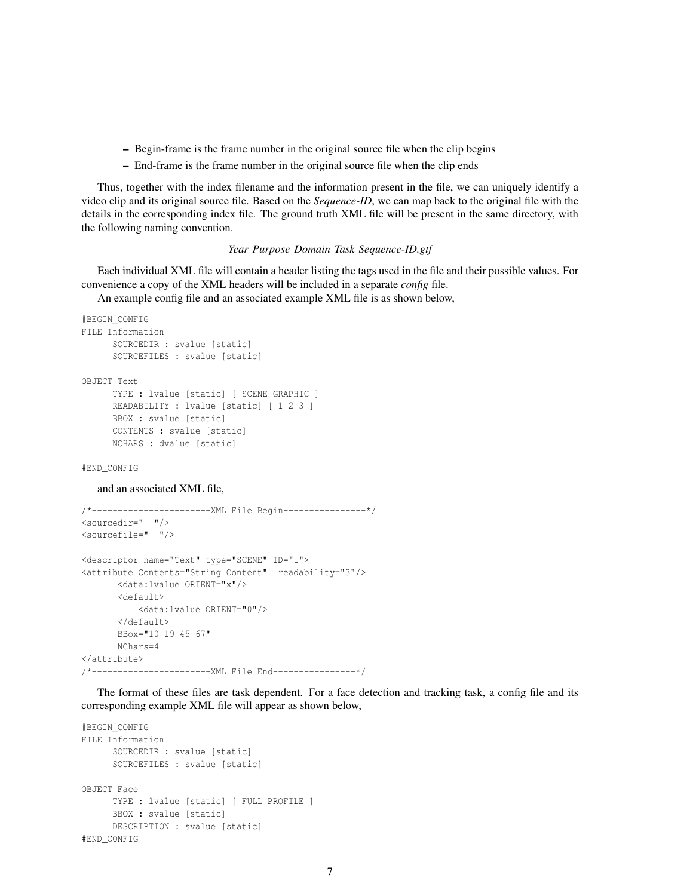- Begin-frame is the frame number in the original source file when the clip begins
- End-frame is the frame number in the original source file when the clip ends

Thus, together with the index filename and the information present in the file, we can uniquely identify a video clip and its original source file. Based on the *Sequence-ID*, we can map back to the original file with the details in the corresponding index file. The ground truth XML file will be present in the same directory, with the following naming convention.

#### *Year Purpose Domain Task Sequence-ID.gtf*

Each individual XML file will contain a header listing the tags used in the file and their possible values. For convenience a copy of the XML headers will be included in a separate *config* file.

An example config file and an associated example XML file is as shown below,

```
#BEGIN_CONFIG
FILE Information
     SOURCEDIR : svalue [static]
     SOURCEFILES : svalue [static]
OBJECT Text
     TYPE : lvalue [static] [ SCENE GRAPHIC ]
     READABILITY : lvalue [static] [ 1 2 3 ]
     BBOX : svalue [static]
     CONTENTS : svalue [static]
     NCHARS : dvalue [static]
```
#END\_CONFIG

#### and an associated XML file,

```
/*-----------------------XML File Begin----------------*/
<sourcedir=" "/>
<sourcefile=" "/>
<descriptor name="Text" type="SCENE" ID="1">
<attribute Contents="String Content" readability="3"/>
      <data:lvalue ORIENT="x"/>
      <default>
          <data:lvalue ORIENT="0"/>
      </default>
      BBox="10 19 45 67"
      NChars=4
</attribute>
/*-----------------------XML File End----------------*/
```
The format of these files are task dependent. For a face detection and tracking task, a config file and its corresponding example XML file will appear as shown below,

```
#BEGIN_CONFIG
FILE Information
     SOURCEDIR : svalue [static]
     SOURCEFILES : svalue [static]
OBJECT Face
     TYPE : lvalue [static] [ FULL PROFILE ]
     BBOX : svalue [static]
     DESCRIPTION : svalue [static]
#END_CONFIG
```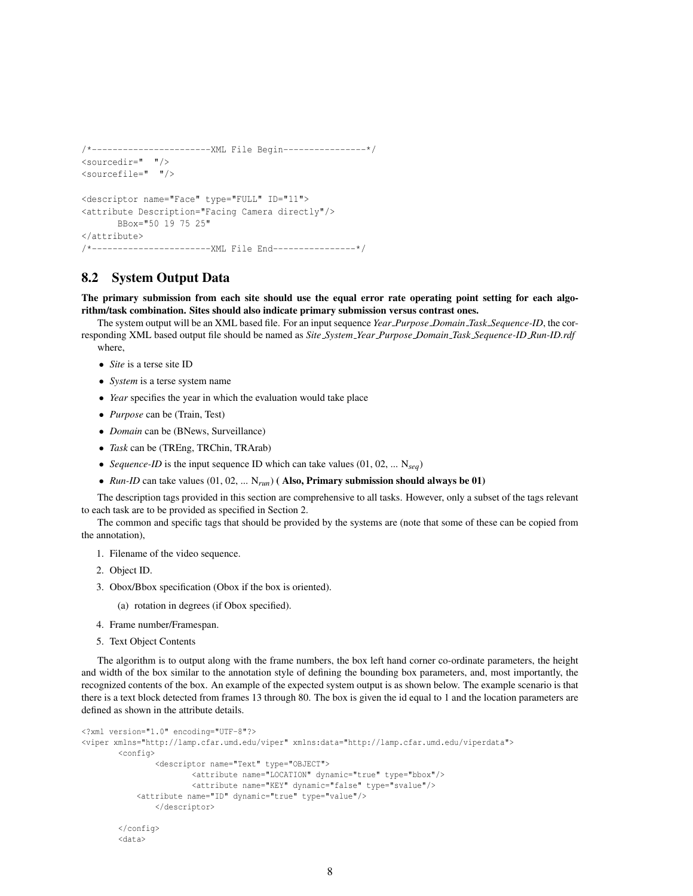```
/*-----------------------XML File Begin----------------*/
<sourcedir=" "/>
<sourcefile=" "/>
<descriptor name="Face" type="FULL" ID="11">
<attribute Description="Facing Camera directly"/>
      BBox="50 19 75 25"
</attribute>
/*-----------------------XML File End----------------*/
```
### 8.2 System Output Data

The primary submission from each site should use the equal error rate operating point setting for each algorithm/task combination. Sites should also indicate primary submission versus contrast ones.

The system output will be an XML based file. For an input sequence *Year Purpose Domain Task Sequence-ID*, the corresponding XML based output file should be named as *Site System Year Purpose Domain Task Sequence-ID Run-ID.rdf* where,

- *Site* is a terse site ID
- *System* is a terse system name
- *Year* specifies the year in which the evaluation would take place
- *Purpose* can be (Train, Test)
- *Domain* can be (BNews, Surveillance)
- *Task* can be (TREng, TRChin, TRArab)
- *Sequence-ID* is the input sequence ID which can take values (01, 02, ... N*seq*)
- *Run-ID* can take values (01, 02, ... N*run*) ( Also, Primary submission should always be 01)

The description tags provided in this section are comprehensive to all tasks. However, only a subset of the tags relevant to each task are to be provided as specified in Section 2.

The common and specific tags that should be provided by the systems are (note that some of these can be copied from the annotation),

- 1. Filename of the video sequence.
- 2. Object ID.
- 3. Obox/Bbox specification (Obox if the box is oriented).
	- (a) rotation in degrees (if Obox specified).
- 4. Frame number/Framespan.
- 5. Text Object Contents

The algorithm is to output along with the frame numbers, the box left hand corner co-ordinate parameters, the height and width of the box similar to the annotation style of defining the bounding box parameters, and, most importantly, the recognized contents of the box. An example of the expected system output is as shown below. The example scenario is that there is a text block detected from frames 13 through 80. The box is given the id equal to 1 and the location parameters are defined as shown in the attribute details.

```
<?xml version="1.0" encoding="UTF-8"?>
<viper xmlns="http://lamp.cfar.umd.edu/viper" xmlns:data="http://lamp.cfar.umd.edu/viperdata">
        <config>
                <descriptor name="Text" type="OBJECT">
                       <attribute name="LOCATION" dynamic="true" type="bbox"/>
                       <attribute name="KEY" dynamic="false" type="svalue"/>
            <attribute name="ID" dynamic="true" type="value"/>
                </descriptor>
        </config>
        <data>
```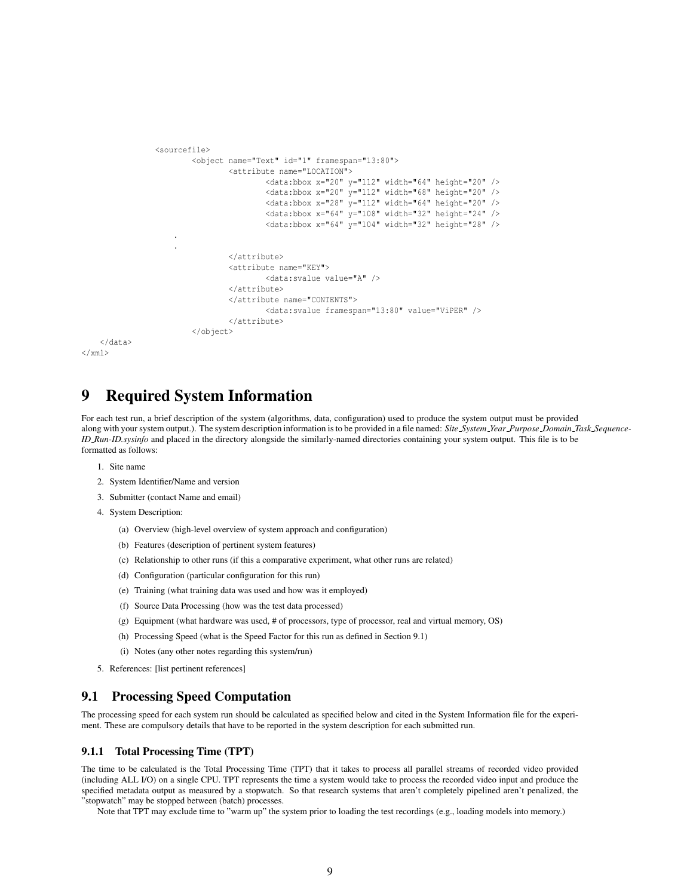```
<sourcefile>
                    <object name="Text" id="1" framespan="13:80">
                            <attribute name="LOCATION">
                                    <data:bbox x="20" y="112" width="64" height="20" />
                                    <data:bbox x="20" y="112" width="68" height="20" />
                                     <data:bbox x="28" y="112" width="64" height="20" />
                                     <data:bbox x="64" y="108" width="32" height="24" />
                                    <data:bbox x="64" y="104" width="32" height="28" />
                .
                .
                            </attribute>
                            <attribute name="KEY">
                                    <data:svalue value="A" />
                            </attribute>
                            </attribute name="CONTENTS">
                                    <data:svalue framespan="13:80" value="ViPER" />
                            </attribute>
                    </object>
</data>
```

```
9 Required System Information
```
For each test run, a brief description of the system (algorithms, data, configuration) used to produce the system output must be provided along with your system output.). The system description information is to be provided in a file named: *Site System Year Purpose Domain Task Sequence-ID Run-ID.sysinfo* and placed in the directory alongside the similarly-named directories containing your system output. This file is to be formatted as follows:

1. Site name

 $\langle$ /xml>

- 2. System Identifier/Name and version
- 3. Submitter (contact Name and email)
- 4. System Description:
	- (a) Overview (high-level overview of system approach and configuration)
	- (b) Features (description of pertinent system features)
	- (c) Relationship to other runs (if this a comparative experiment, what other runs are related)
	- (d) Configuration (particular configuration for this run)
	- (e) Training (what training data was used and how was it employed)
	- (f) Source Data Processing (how was the test data processed)
	- (g) Equipment (what hardware was used, # of processors, type of processor, real and virtual memory, OS)
	- (h) Processing Speed (what is the Speed Factor for this run as defined in Section 9.1)
	- (i) Notes (any other notes regarding this system/run)
- 5. References: [list pertinent references]

### 9.1 Processing Speed Computation

The processing speed for each system run should be calculated as specified below and cited in the System Information file for the experiment. These are compulsory details that have to be reported in the system description for each submitted run.

#### 9.1.1 Total Processing Time (TPT)

The time to be calculated is the Total Processing Time (TPT) that it takes to process all parallel streams of recorded video provided (including ALL I/O) on a single CPU. TPT represents the time a system would take to process the recorded video input and produce the specified metadata output as measured by a stopwatch. So that research systems that aren't completely pipelined aren't penalized, the "stopwatch" may be stopped between (batch) processes.

Note that TPT may exclude time to "warm up" the system prior to loading the test recordings (e.g., loading models into memory.)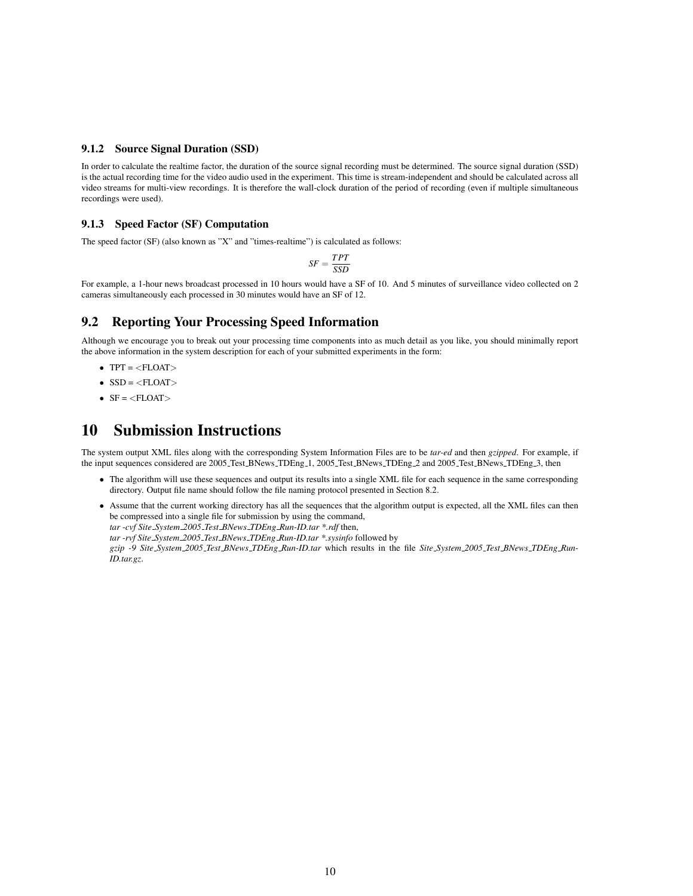#### 9.1.2 Source Signal Duration (SSD)

In order to calculate the realtime factor, the duration of the source signal recording must be determined. The source signal duration (SSD) is the actual recording time for the video audio used in the experiment. This time is stream-independent and should be calculated across all video streams for multi-view recordings. It is therefore the wall-clock duration of the period of recording (even if multiple simultaneous recordings were used).

#### 9.1.3 Speed Factor (SF) Computation

The speed factor (SF) (also known as "X" and "times-realtime") is calculated as follows:

$$
SF = \frac{TPT}{SSD}
$$

For example, a 1-hour news broadcast processed in 10 hours would have a SF of 10. And 5 minutes of surveillance video collected on 2 cameras simultaneously each processed in 30 minutes would have an SF of 12.

### 9.2 Reporting Your Processing Speed Information

Although we encourage you to break out your processing time components into as much detail as you like, you should minimally report the above information in the system description for each of your submitted experiments in the form:

- $\bullet$  TPT =  $\langle$ FLOAT $>$
- $\bullet$  SSD =  $\langle$ FLOAT $>$
- $SF =$

## 10 Submission Instructions

The system output XML files along with the corresponding System Information Files are to be *tar-ed* and then *gzipped*. For example, if the input sequences considered are 2005 Test BNews TDEng 1, 2005 Test BNews TDEng 2 and 2005 Test BNews TDEng 3, then

- The algorithm will use these sequences and output its results into a single XML file for each sequence in the same corresponding directory. Output file name should follow the file naming protocol presented in Section 8.2.
- Assume that the current working directory has all the sequences that the algorithm output is expected, all the XML files can then be compressed into a single file for submission by using the command, *tar -cvf Site System 2005 Test BNews TDEng Run-ID.tar \*.rdf* then,

*tar -rvf Site System 2005 Test BNews TDEng Run-ID.tar \*.sysinfo* followed by

*gzip -9 Site System 2005 Test BNews TDEng Run-ID.tar* which results in the file *Site System 2005 Test BNews TDEng Run-ID.tar.gz*.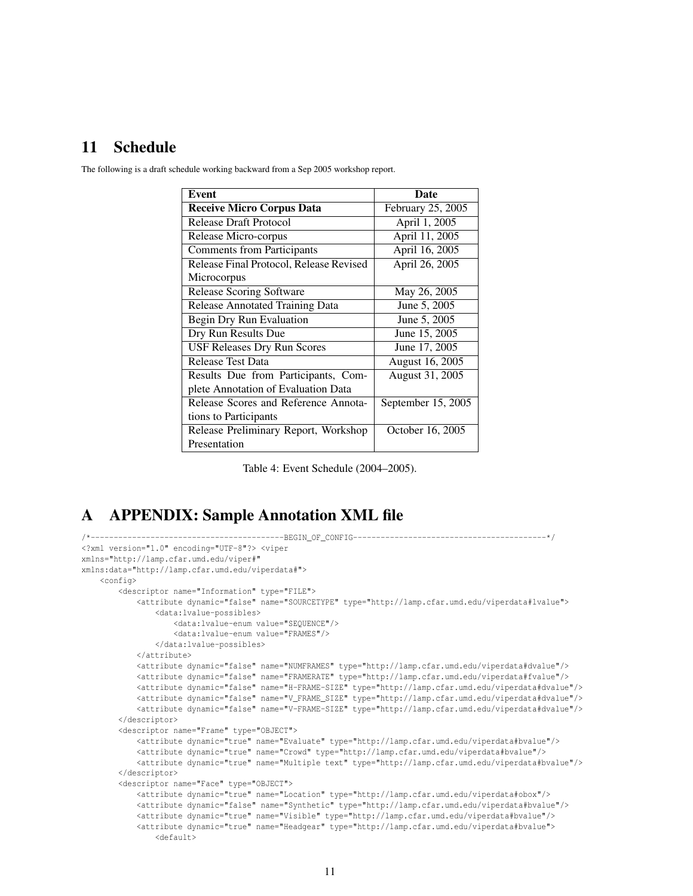## 11 Schedule

| <b>Event</b>                            | <b>Date</b>        |
|-----------------------------------------|--------------------|
| <b>Receive Micro Corpus Data</b>        | February 25, 2005  |
| Release Draft Protocol                  | April 1, 2005      |
| Release Micro-corpus                    | April 11, 2005     |
| <b>Comments from Participants</b>       | April 16, 2005     |
| Release Final Protocol, Release Revised | April 26, 2005     |
| Microcorpus                             |                    |
| <b>Release Scoring Software</b>         | May 26, 2005       |
| Release Annotated Training Data         | June 5, 2005       |
| Begin Dry Run Evaluation                | June 5, 2005       |
| Dry Run Results Due                     | June 15, 2005      |
| <b>USF Releases Dry Run Scores</b>      | June 17, 2005      |
| <b>Release Test Data</b>                | August 16, 2005    |
| Results Due from Participants, Com-     | August 31, 2005    |
| plete Annotation of Evaluation Data     |                    |
| Release Scores and Reference Annota-    | September 15, 2005 |
| tions to Participants                   |                    |
| Release Preliminary Report, Workshop    | October 16, 2005   |
| Presentation                            |                    |

The following is a draft schedule working backward from a Sep 2005 workshop report.

Table 4: Event Schedule (2004–2005).

## A APPENDIX: Sample Annotation XML file

```
/*------------------------------------------BEGIN_OF_CONFIG------------------------------------------*/
<?xml version="1.0" encoding="UTF-8"?> <viper
xmlns="http://lamp.cfar.umd.edu/viper#"
xmlns:data="http://lamp.cfar.umd.edu/viperdata#">
    <config>
        <descriptor name="Information" type="FILE">
            <attribute dynamic="false" name="SOURCETYPE" type="http://lamp.cfar.umd.edu/viperdata#lvalue">
                <data:lvalue-possibles>
                    <data:lvalue-enum value="SEQUENCE"/>
                    <data:lvalue-enum value="FRAMES"/>
                </data:lvalue-possibles>
            </attribute>
            <attribute dynamic="false" name="NUMFRAMES" type="http://lamp.cfar.umd.edu/viperdata#dvalue"/>
            <attribute dynamic="false" name="FRAMERATE" type="http://lamp.cfar.umd.edu/viperdata#fvalue"/>
            <attribute dynamic="false" name="H-FRAME-SIZE" type="http://lamp.cfar.umd.edu/viperdata#dvalue"/>
            <attribute dynamic="false" name="V_FRAME_SIZE" type="http://lamp.cfar.umd.edu/viperdata#dvalue"/>
            <attribute dynamic="false" name="V-FRAME-SIZE" type="http://lamp.cfar.umd.edu/viperdata#dvalue"/>
        </descriptor>
        <descriptor name="Frame" type="OBJECT">
            <attribute dynamic="true" name="Evaluate" type="http://lamp.cfar.umd.edu/viperdata#bvalue"/>
            <attribute dynamic="true" name="Crowd" type="http://lamp.cfar.umd.edu/viperdata#bvalue"/>
            <attribute dynamic="true" name="Multiple text" type="http://lamp.cfar.umd.edu/viperdata#bvalue"/>
        </descriptor>
        <descriptor name="Face" type="OBJECT">
            <attribute dynamic="true" name="Location" type="http://lamp.cfar.umd.edu/viperdata#obox"/>
            <attribute dynamic="false" name="Synthetic" type="http://lamp.cfar.umd.edu/viperdata#bvalue"/>
            <attribute dynamic="true" name="Visible" type="http://lamp.cfar.umd.edu/viperdata#bvalue"/>
            <attribute dynamic="true" name="Headgear" type="http://lamp.cfar.umd.edu/viperdata#bvalue">
                <default>
```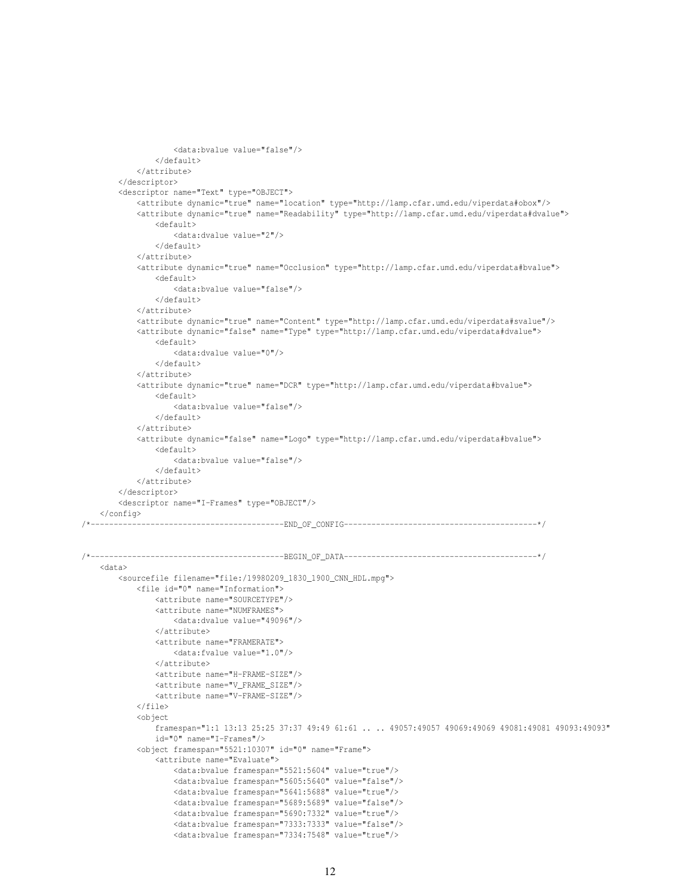```
<data:bvalue value="false"/>
                z/dofault\sim</attribute>
        </descriptor>
        <descriptor name="Text" type="OBJECT">
            <attribute dynamic="true" name="location" type="http://lamp.cfar.umd.edu/viperdata#obox"/>
            <attribute dynamic="true" name="Readability" type="http://lamp.cfar.umd.edu/viperdata#dvalue">
               <default>
                    <data:dvalue value="2"/>
               </default>
            </attribute>
            <attribute dynamic="true" name="Occlusion" type="http://lamp.cfar.umd.edu/viperdata#bvalue">
                <default>
                    <data:bvalue value="false"/>
                </default>
            </attribute>
            <attribute dynamic="true" name="Content" type="http://lamp.cfar.umd.edu/viperdata#svalue"/>
            <attribute dynamic="false" name="Type" type="http://lamp.cfar.umd.edu/viperdata#dvalue">
               <default>
                    <data:dvalue value="0"/>
               </default>
            </attribute>
            <attribute dynamic="true" name="DCR" type="http://lamp.cfar.umd.edu/viperdata#bvalue">
               <default>
                   <data:bvalue value="false"/>
               </default>
            </attribute>
            <attribute dynamic="false" name="Logo" type="http://lamp.cfar.umd.edu/viperdata#bvalue">
               <default>
                    <data:bvalue value="false"/>
               </default>
            </attribute>
       </descriptor>
        <descriptor name="I-Frames" type="OBJECT"/>
   </config>
/*------------------------------------------END_OF_CONFIG------------------------------------------*/
/*------------------------------------------BEGIN_OF_DATA------------------------------------------*/
   <data>
       <sourcefile filename="file:/19980209_1830_1900_CNN_HDL.mpg">
            <file id="0" name="Information">
               <attribute name="SOURCETYPE"/>
               <attribute name="NUMFRAMES">
                    <data:dvalue value="49096"/>
               </attribute>
                <attribute name="FRAMERATE">
                   <data:fvalue value="1.0"/>
                </attribute>
                <attribute name="H-FRAME-SIZE"/>
               <attribute name="V_FRAME_SIZE"/>
               <attribute name="V-FRAME-SIZE"/>
            \langlefile>
            <object
               framespan="1:1 13:13 25:25 37:37 49:49 61:61 .. .. 49057:49057 49069:49069 49081:49081 49093:49093"
               id="0" name="I-Frames"/>
            <object framespan="5521:10307" id="0" name="Frame">
                <attribute name="Evaluate">
                    <data:bvalue framespan="5521:5604" value="true"/>
                    <data:bvalue framespan="5605:5640" value="false"/>
                    <data:bvalue framespan="5641:5688" value="true"/>
                    <data:bvalue framespan="5689:5689" value="false"/>
                    <data:bvalue framespan="5690:7332" value="true"/>
                    <data:bvalue framespan="7333:7333" value="false"/>
                    <data:bvalue framespan="7334:7548" value="true"/>
```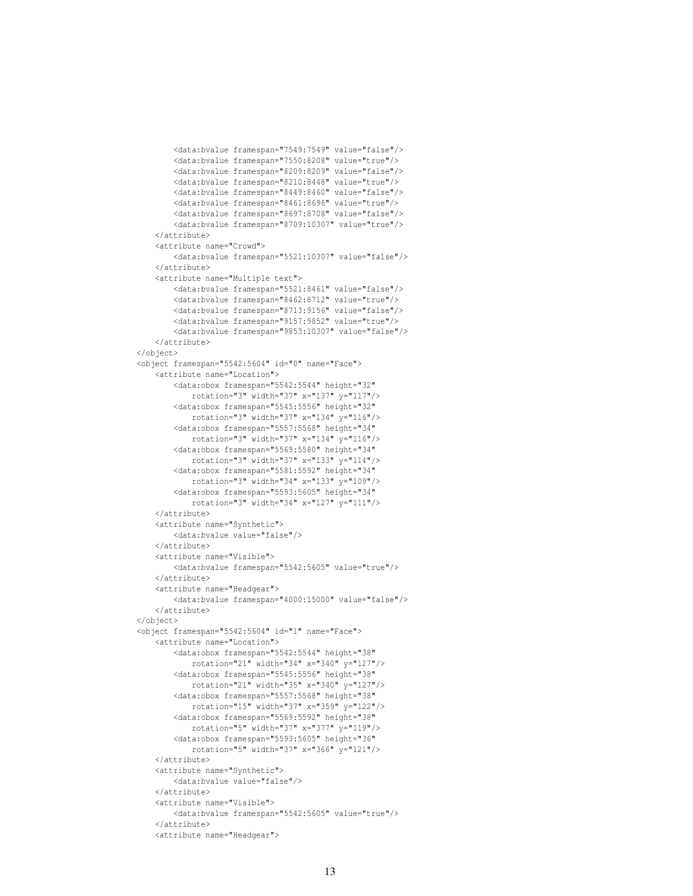```
<data:bvalue framespan="7550:8208" value="true"/>
        <data:bvalue framespan="8209:8209" value="false"/>
        <data:bvalue framespan="8210:8448" value="true"/>
        <data:bvalue framespan="8449:8460" value="false"/>
        <data:bvalue framespan="8461:8696" value="true"/>
        <data:bvalue framespan="8697:8708" value="false"/>
        <data:bvalue framespan="8709:10307" value="true"/>
    </attribute>
    <attribute name="Crowd">
        <data:bvalue framespan="5521:10307" value="false"/>
    </attribute>
    <attribute name="Multiple text">
        <data:bvalue framespan="5521:8461" value="false"/>
        <data:bvalue framespan="8462:8712" value="true"/>
        <data:bvalue framespan="8713:9156" value="false"/>
        <data:bvalue framespan="9157:9852" value="true"/>
        <data:bvalue framespan="9853:10307" value="false"/>
    </attribute>
</object>
<object framespan="5542:5604" id="0" name="Face">
    <attribute name="Location">
        <data:obox framespan="5542:5544" height="32"
           rotation="3" width="37" x="137" y="117"/>
        <data:obox framespan="5545:5556" height="32"
           rotation="3" width="37" x="134" y="116"/>
        <data:obox framespan="5557:5568" height="34"
           rotation="3" width="37" x="134" y="116"/>
        <data:obox framespan="5569:5580" height="34"
           rotation="3" width="37" x="133" y="114"/>
        <data:obox framespan="5581:5592" height="34"
           rotation="3" width="34" x="133" y="109"/>
        <data:obox framespan="5593:5605" height="34"
           rotation="3" width="34" x="127" y="111"/>
    </attribute>
    <attribute name="Synthetic">
       <data:bvalue value="false"/>
    </attribute>
    <attribute name="Visible">
        <data:bvalue framespan="5542:5605" value="true"/>
    </attribute>
    <attribute name="Headgear">
        <data:bvalue framespan="4000:15000" value="false"/>
    </attribute>
</object>
<object framespan="5542:5604" id="1" name="Face">
    <attribute name="Location">
        <data:obox framespan="5542:5544" height="38"
           rotation="21" width="34" x="340" y="127"/>
        <data:obox framespan="5545:5556" height="38"
           rotation="21" width="35" x="340" y="127"/>
        <data:obox framespan="5557:5568" height="38"
           rotation="15" width="37" x="359" y="122"/>
        <data:obox framespan="5569:5592" height="38"
           rotation="5" width="37" x="377" y="119"/>
        <data:obox framespan="5593:5605" height="36"
           rotation="5" width="37" x="366" y="121"/>
    </attribute>
    <attribute name="Synthetic">
        <data:bvalue value="false"/>
    </attribute>
    <attribute name="Visible">
       <data:bvalue framespan="5542:5605" value="true"/>
    </attribute>
    <attribute name="Headgear">
```
<data:bvalue framespan="7549:7549" value="false"/>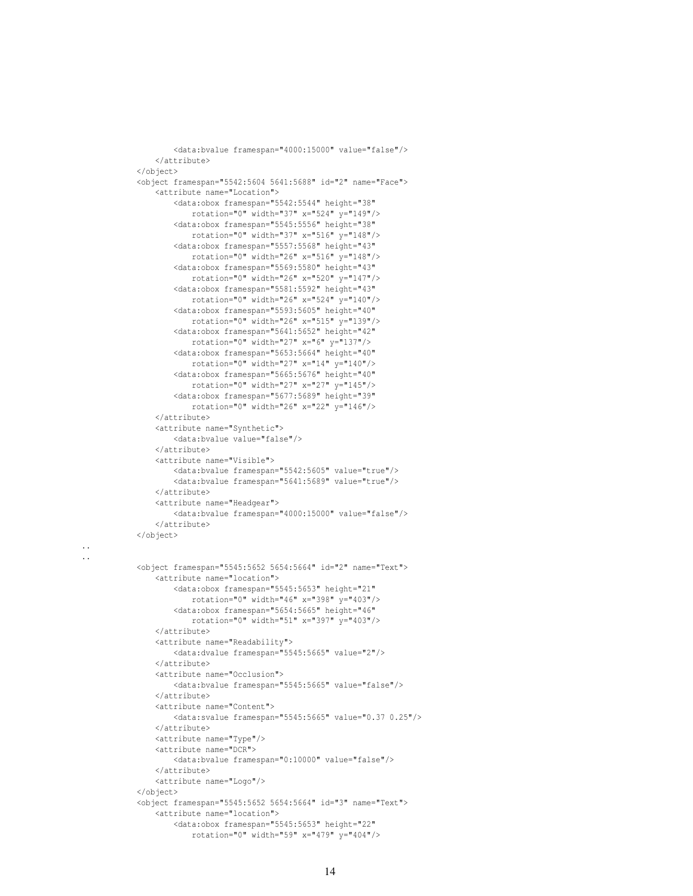#### .. ..

```
</attribute>
</object>
<object framespan="5545:5652 5654:5664" id="2" name="Text">
    <attribute name="location">
        <data:obox framespan="5545:5653" height="21"
            rotation="0" width="46" x="398" y="403"/>
        <data:obox framespan="5654:5665" height="46"
           rotation="0" width="51" x="397" y="403"/>
    </attribute>
    <attribute name="Readability">
        <data:dvalue framespan="5545:5665" value="2"/>
    </attribute>
    <attribute name="Occlusion">
        <data:bvalue framespan="5545:5665" value="false"/>
    </attribute>
   <attribute name="Content">
        <data:svalue framespan="5545:5665" value="0.37 0.25"/>
    </attribute>
    <attribute name="Type"/>
    <attribute name="DCR">
        <data:bvalue framespan="0:10000" value="false"/>
    </attribute>
    <attribute name="Logo"/>
</object>
<object framespan="5545:5652 5654:5664" id="3" name="Text">
   <attribute name="location">
        <data:obox framespan="5545:5653" height="22"
            rotation="0" width="59" x="479" y="404"/>
```
<data:bvalue framespan="5542:5605" value="true"/> <data:bvalue framespan="5641:5689" value="true"/>

<data:bvalue framespan="4000:15000" value="false"/>

<data:bvalue framespan="4000:15000" value="false"/>

<object framespan="5542:5604 5641:5688" id="2" name="Face">

<data:obox framespan="5542:5544" height="38" rotation="0" width="37" x="524" y="149"/> <data:obox framespan="5545:5556" height="38" rotation="0" width="37" x="516" y="148"/> <data:obox framespan="5557:5568" height="43" rotation="0" width="26" x="516" y="148"/> <data:obox framespan="5569:5580" height="43" rotation="0" width="26" x="520" y="147"/> <data:obox framespan="5581:5592" height="43" rotation="0" width="26" x="524" y="140"/> <data:obox framespan="5593:5605" height="40" rotation="0" width="26" x="515" y="139"/> <data:obox framespan="5641:5652" height="42" rotation="0" width="27" x="6" y="137"/> <data:obox framespan="5653:5664" height="40" rotation="0" width="27" x="14" y="140"/> <data:obox framespan="5665:5676" height="40" rotation="0" width="27" x="27" y="145"/> <data:obox framespan="5677:5689" height="39" rotation="0" width="26" x="22" y="146"/>

</attribute>

</attribute>

</attribute>

</attribute>

<attribute name="Synthetic"> <data:bvalue value="false"/>

<attribute name="Visible">

<attribute name="Headgear">

<attribute name="Location">

</object>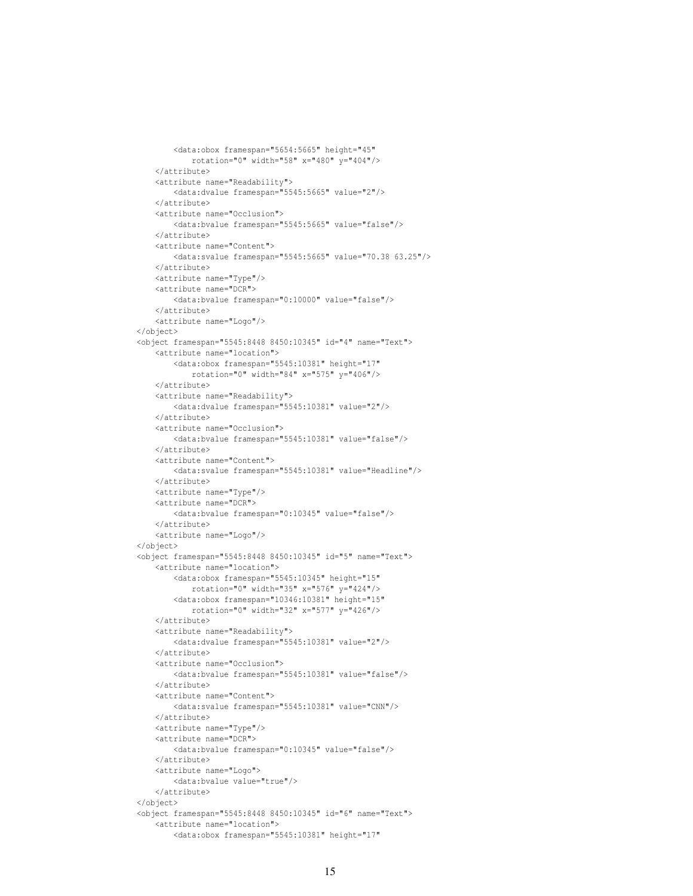```
rotation="0" width="58" x="480" y="404"/>
    </attribute>
    <attribute name="Readability">
        <data:dvalue framespan="5545:5665" value="2"/>
    </attribute>
   <attribute name="Occlusion">
       <data:bvalue framespan="5545:5665" value="false"/>
   </attribute>
   <attribute name="Content">
        <data:svalue framespan="5545:5665" value="70.38 63.25"/>
   </attribute>
   <attribute name="Type"/>
    <attribute name="DCR">
       <data:bvalue framespan="0:10000" value="false"/>
    </attribute>
   <attribute name="Logo"/>
</object>
<object framespan="5545:8448 8450:10345" id="4" name="Text">
    <attribute name="location">
        <data:obox framespan="5545:10381" height="17"
           rotation="0" width="84" x="575" y="406"/>
   </attribute>
   <attribute name="Readability">
        <data:dvalue framespan="5545:10381" value="2"/>
    </attribute>
   <attribute name="Occlusion">
        <data:bvalue framespan="5545:10381" value="false"/>
   </attribute>
   <attribute name="Content">
        <data:svalue framespan="5545:10381" value="Headline"/>
   </attribute>
   <attribute name="Type"/>
    <attribute name="DCR">
       <data:bvalue framespan="0:10345" value="false"/>
   </attribute>
   <attribute name="Logo"/>
</object>
<object framespan="5545:8448 8450:10345" id="5" name="Text">
    <attribute name="location">
        <data:obox framespan="5545:10345" height="15"
           rotation="0" width="35" x="576" y="424"/>
        <data:obox framespan="10346:10381" height="15"
           rotation="0" width="32" x="577" y="426"/>
    </attribute>
    <attribute name="Readability">
       <data:dvalue framespan="5545:10381" value="2"/>
   </attribute>
    <attribute name="Occlusion">
        <data:bvalue framespan="5545:10381" value="false"/>
   </attribute>
    <attribute name="Content">
       <data:svalue framespan="5545:10381" value="CNN"/>
   </attribute>
    <attribute name="Type"/>
   <attribute name="DCR">
        <data:bvalue framespan="0:10345" value="false"/>
    </attribute>
    <attribute name="Logo">
        <data:bvalue value="true"/>
    </attribute>
</object>
<object framespan="5545:8448 8450:10345" id="6" name="Text">
    <attribute name="location">
        <data:obox framespan="5545:10381" height="17"
```
<data:obox framespan="5654:5665" height="45"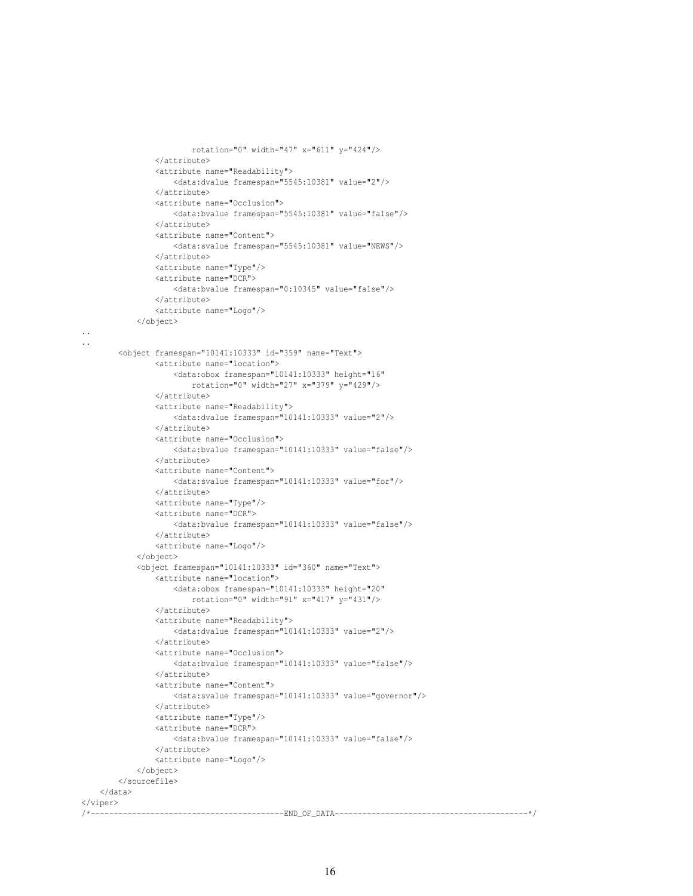```
rotation="0" width="47" x="611" y="424"/>
   </attribute>
    <attribute name="Readability">
        <data:dvalue framespan="5545:10381" value="2"/>
   </attribute>
    <attribute name="Occlusion">
       <data:bvalue framespan="5545:10381" value="false"/>
    </attribute>
    <attribute name="Content">
       <data:svalue framespan="5545:10381" value="NEWS"/>
    </attribute>
    <attribute name="Type"/>
    <attribute name="DCR">
       <data:bvalue framespan="0:10345" value="false"/>
   </attribute>
    <attribute name="Logo"/>
</object>
```
#### .. ..

```
<object framespan="10141:10333" id="359" name="Text">
                <attribute name="location">
                    <data:obox framespan="10141:10333" height="16"
                       rotation="0" width="27" x="379" y="429"/>
                </attribute>
                <attribute name="Readability">
                    <data:dvalue framespan="10141:10333" value="2"/>
                </attribute>
                <attribute name="Occlusion">
                    <data:bvalue framespan="10141:10333" value="false"/>
                </attribute>
                <attribute name="Content">
                   <data:svalue framespan="10141:10333" value="for"/>
                </attribute>
                <attribute name="Type"/>
                <attribute name="DCR">
                   <data:bvalue framespan="10141:10333" value="false"/>
                </attribute>
                <attribute name="Logo"/>
            </object>
            <object framespan="10141:10333" id="360" name="Text">
                <attribute name="location">
                    <data:obox framespan="10141:10333" height="20"
                       rotation="0" width="91" x="417" y="431"/>
                </attribute>
                <attribute name="Readability">
                   <data:dvalue framespan="10141:10333" value="2"/>
                </attribute>
                <attribute name="Occlusion">
                    <data:bvalue framespan="10141:10333" value="false"/>
                </attribute>
                <attribute name="Content">
                    <data:svalue framespan="10141:10333" value="governor"/>
                </attribute>
                <attribute name="Type"/>
                <attribute name="DCR">
                   <data:bvalue framespan="10141:10333" value="false"/>
                </attribute>
                <attribute name="Logo"/>
            </object>
        </sourcefile>
   </data>
\langle/viper\rangle/*------------------------------------------END_OF_DATA------------------------------------------*/
```